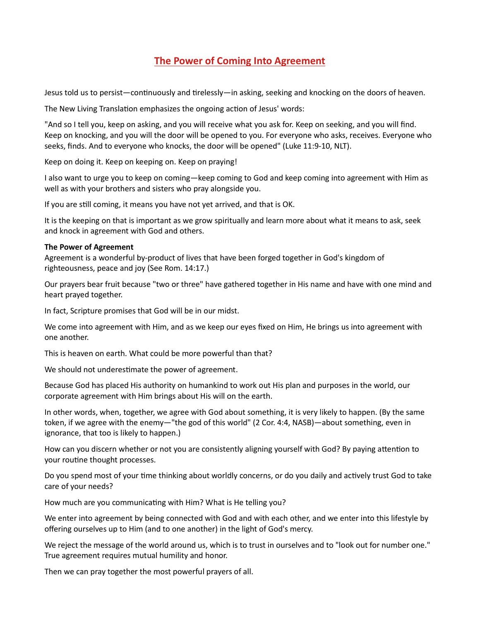## The Power of Coming Into Agreement

Jesus told us to persist—continuously and tirelessly—in asking, seeking and knocking on the doors of heaven.

The New Living Translation emphasizes the ongoing action of Jesus' words:

"And so I tell you, keep on asking, and you will receive what you ask for. Keep on seeking, and you will find. Keep on knocking, and you will the door will be opened to you. For everyone who asks, receives. Everyone who seeks, finds. And to everyone who knocks, the door will be opened" (Luke 11:9-10, NLT).

Keep on doing it. Keep on keeping on. Keep on praying!

I also want to urge you to keep on coming—keep coming to God and keep coming into agreement with Him as well as with your brothers and sisters who pray alongside you.

If you are still coming, it means you have not yet arrived, and that is OK.

It is the keeping on that is important as we grow spiritually and learn more about what it means to ask, seek and knock in agreement with God and others.

## The Power of Agreement

Agreement is a wonderful by-product of lives that have been forged together in God's kingdom of righteousness, peace and joy (See Rom. 14:17.)

Our prayers bear fruit because "two or three" have gathered together in His name and have with one mind and heart prayed together.

In fact, Scripture promises that God will be in our midst.

We come into agreement with Him, and as we keep our eyes fixed on Him, He brings us into agreement with one another.

This is heaven on earth. What could be more powerful than that?

We should not underestimate the power of agreement.

Because God has placed His authority on humankind to work out His plan and purposes in the world, our corporate agreement with Him brings about His will on the earth.

In other words, when, together, we agree with God about something, it is very likely to happen. (By the same token, if we agree with the enemy—"the god of this world" (2 Cor. 4:4, NASB)—about something, even in ignorance, that too is likely to happen.)

How can you discern whether or not you are consistently aligning yourself with God? By paying attention to your routine thought processes.

Do you spend most of your time thinking about worldly concerns, or do you daily and actively trust God to take care of your needs?

How much are you communicating with Him? What is He telling you?

We enter into agreement by being connected with God and with each other, and we enter into this lifestyle by offering ourselves up to Him (and to one another) in the light of God's mercy.

We reject the message of the world around us, which is to trust in ourselves and to "look out for number one." True agreement requires mutual humility and honor.

Then we can pray together the most powerful prayers of all.